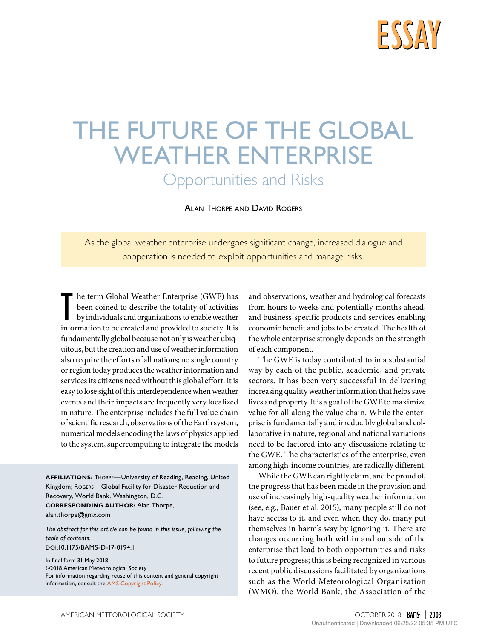

# THE FUTURE OF THE GLOBAL WEATHER ENTERPRISE

Opportunities and Risks

Alan Thorpe and David Rogers

As the global weather enterprise undergoes significant change, increased dialogue and cooperation is needed to exploit opportunities and manage risks.

In the term Global Weather Enterprise (GWE) has been coined to describe the totality of activities by individuals and organizations to enable weather information to be created and provided to society. It is he term Global Weather Enterprise (GWE) has been coined to describe the totality of activities by individuals and organizations to enable weather fundamentally global because not only is weather ubiquitous, but the creation and use of weather information also require the efforts of all nations; no single country or region today produces the weather information and services its citizens need without this global effort. It is easy to lose sight of this interdependence when weather events and their impacts are frequently very localized in nature. The enterprise includes the full value chain of scientific research, observations of the Earth system, numerical models encoding the laws of physics applied to the system, supercomputing to integrate the models

**AFFILIATIONS:** Thorpe—University of Reading, Reading, United Kingdom; Rogers—Global Facility for Disaster Reduction and Recovery, World Bank, Washington, D.C. **CORRESPONDING AUTHOR:** Alan Thorpe, [alan.thorpe@gmx.com](mailto:alan.thorpe%40gmx.com?subject=)

*The abstract for this article can be found in this issue, following the table of contents.*

[DOI:10.1175/BAMS-D-17-0194.1](http://doi.org/10.1175/BAMS-D-17-0194.1)

In final form 31 May 2018 ©2018 American Meteorological Society For information regarding reuse of this content and general copyright information, consult the [AMS Copyright Policy](http://www.ametsoc.org/PUBSReuseLicenses).

and observations, weather and hydrological forecasts from hours to weeks and potentially months ahead, and business-specific products and services enabling economic benefit and jobs to be created. The health of the whole enterprise strongly depends on the strength of each component.

The GWE is today contributed to in a substantial way by each of the public, academic, and private sectors. It has been very successful in delivering increasing quality weather information that helps save lives and property. It is a goal of the GWE to maximize value for all along the value chain. While the enterprise is fundamentally and irreducibly global and collaborative in nature, regional and national variations need to be factored into any discussions relating to the GWE. The characteristics of the enterprise, even among high-income countries, are radically different.

While the GWE can rightly claim, and be proud of, the progress that has been made in the provision and use of increasingly high-quality weather information (see, e.g., Bauer et al. 2015), many people still do not have access to it, and even when they do, many put themselves in harm's way by ignoring it. There are changes occurring both within and outside of the enterprise that lead to both opportunities and risks to future progress; this is being recognized in various recent public discussions facilitated by organizations such as the World Meteorological Organization (WMO), the World Bank, the Association of the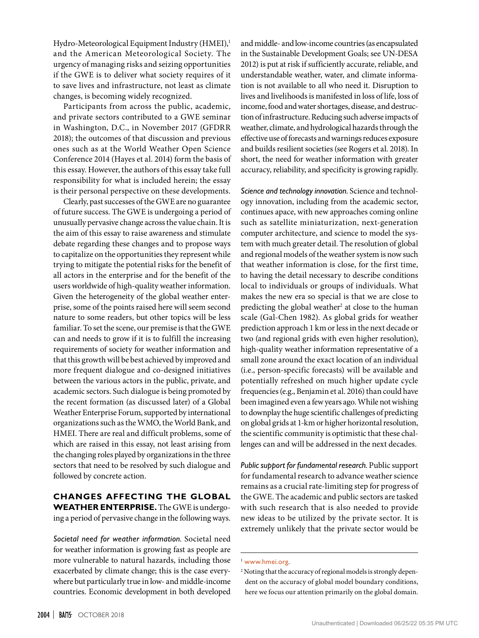Hydro-Meteorological Equipment Industry (HMEI),<sup>1</sup> and the American Meteorological Society. The urgency of managing risks and seizing opportunities if the GWE is to deliver what society requires of it to save lives and infrastructure, not least as climate changes, is becoming widely recognized.

Participants from across the public, academic, and private sectors contributed to a GWE seminar in Washington, D.C., in November 2017 (GFDRR 2018); the outcomes of that discussion and previous ones such as at the World Weather Open Science Conference 2014 (Hayes et al. 2014) form the basis of this essay. However, the authors of this essay take full responsibility for what is included herein; the essay is their personal perspective on these developments.

Clearly, past successes of the GWE are no guarantee of future success. The GWE is undergoing a period of unusually pervasive change across the value chain. It is the aim of this essay to raise awareness and stimulate debate regarding these changes and to propose ways to capitalize on the opportunities they represent while trying to mitigate the potential risks for the benefit of all actors in the enterprise and for the benefit of the users worldwide of high-quality weather information. Given the heterogeneity of the global weather enterprise, some of the points raised here will seem second nature to some readers, but other topics will be less familiar. To set the scene, our premise is that the GWE can and needs to grow if it is to fulfill the increasing requirements of society for weather information and that this growth will be best achieved by improved and more frequent dialogue and co-designed initiatives between the various actors in the public, private, and academic sectors. Such dialogue is being promoted by the recent formation (as discussed later) of a Global Weather Enterprise Forum, supported by international organizations such as the WMO, the World Bank, and HMEI. There are real and difficult problems, some of which are raised in this essay, not least arising from the changing roles played by organizations in the three sectors that need to be resolved by such dialogue and followed by concrete action.

#### **CHANGES AFFECTING THE GLOBAL WEATHER ENTERPRISE.** The GWE is undergoing a period of pervasive change in the following ways.

*Societal need for weather information.* Societal need for weather information is growing fast as people are more vulnerable to natural hazards, including those exacerbated by climate change; this is the case everywhere but particularly true in low- and middle-income countries. Economic development in both developed

and middle- and low-income countries (as encapsulated in the Sustainable Development Goals; see UN-DESA 2012) is put at risk if sufficiently accurate, reliable, and understandable weather, water, and climate information is not available to all who need it. Disruption to lives and livelihoods is manifested in loss of life, loss of income, food and water shortages, disease, and destruction of infrastructure. Reducing such adverse impacts of weather, climate, and hydrological hazards through the effective use of forecasts and warnings reduces exposure and builds resilient societies (see Rogers et al. 2018). In short, the need for weather information with greater accuracy, reliability, and specificity is growing rapidly.

*Science and technology innovation.* Science and technology innovation, including from the academic sector, continues apace, with new approaches coming online such as satellite miniaturization, next-generation computer architecture, and science to model the system with much greater detail. The resolution of global and regional models of the weather system is now such that weather information is close, for the first time, to having the detail necessary to describe conditions local to individuals or groups of individuals. What makes the new era so special is that we are close to predicting the global weather<sup>2</sup> at close to the human scale (Gal-Chen 1982). As global grids for weather prediction approach 1 km or less in the next decade or two (and regional grids with even higher resolution), high-quality weather information representative of a small zone around the exact location of an individual (i.e., person-specific forecasts) will be available and potentially refreshed on much higher update cycle frequencies (e.g., Benjamin et al. 2016) than could have been imagined even a few years ago. While not wishing to downplay the huge scientific challenges of predicting on global grids at 1-km or higher horizontal resolution, the scientific community is optimistic that these challenges can and will be addressed in the next decades.

*Public support for fundamental research.* Public support for fundamental research to advance weather science remains as a crucial rate-limiting step for progress of the GWE. The academic and public sectors are tasked with such research that is also needed to provide new ideas to be utilized by the private sector. It is extremely unlikely that the private sector would be

<sup>1</sup> [www.hmei.org](http://www.hmei.org).

<sup>2</sup> Noting that the accuracy of regional models is strongly dependent on the accuracy of global model boundary conditions, here we focus our attention primarily on the global domain.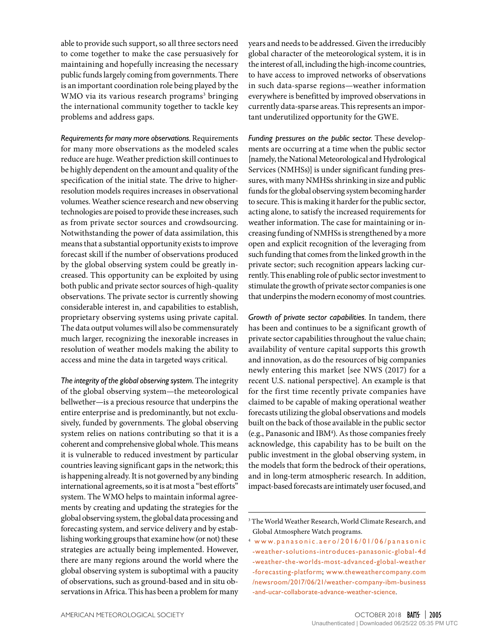able to provide such support, so all three sectors need to come together to make the case persuasively for maintaining and hopefully increasing the necessary public funds largely coming from governments. There is an important coordination role being played by the WMO via its various research programs<sup>3</sup> bringing the international community together to tackle key problems and address gaps.

*Requirements for many more observations.* Requirements for many more observations as the modeled scales reduce are huge. Weather prediction skill continues to be highly dependent on the amount and quality of the specification of the initial state. The drive to higherresolution models requires increases in observational volumes. Weather science research and new observing technologies are poised to provide these increases, such as from private sector sources and crowdsourcing. Notwithstanding the power of data assimilation, this means that a substantial opportunity exists to improve forecast skill if the number of observations produced by the global observing system could be greatly increased. This opportunity can be exploited by using both public and private sector sources of high-quality observations. The private sector is currently showing considerable interest in, and capabilities to establish, proprietary observing systems using private capital. The data output volumes will also be commensurately much larger, recognizing the inexorable increases in resolution of weather models making the ability to access and mine the data in targeted ways critical.

*The integrity of the global observing system.* The integrity of the global observing system—the meteorological bellwether—is a precious resource that underpins the entire enterprise and is predominantly, but not exclusively, funded by governments. The global observing system relies on nations contributing so that it is a coherent and comprehensive global whole. This means it is vulnerable to reduced investment by particular countries leaving significant gaps in the network; this is happening already. It is not governed by any binding international agreements, so it is at most a "best efforts" system. The WMO helps to maintain informal agreements by creating and updating the strategies for the global observing system, the global data processing and forecasting system, and service delivery and by establishing working groups that examine how (or not) these strategies are actually being implemented. However, there are many regions around the world where the global observing system is suboptimal with a paucity of observations, such as ground-based and in situ observations in Africa. This has been a problem for many years and needs to be addressed. Given the irreducibly global character of the meteorological system, it is in the interest of all, including the high-income countries, to have access to improved networks of observations in such data-sparse regions—weather information everywhere is benefitted by improved observations in currently data-sparse areas.This represents an important underutilized opportunity for the GWE.

*Funding pressures on the public sector.* These developments are occurring at a time when the public sector [namely, the National Meteorological and Hydrological Services (NMHSs)] is under significant funding pressures, with many NMHSs shrinking in size and public funds for the global observing system becoming harder to secure. This is making it harder for the public sector, acting alone, to satisfy the increased requirements for weather information. The case for maintaining or increasing funding of NMHSs is strengthened by a more open and explicit recognition of the leveraging from such funding that comes from the linked growth in the private sector; such recognition appears lacking currently. This enabling role of public sector investment to stimulate the growth of private sector companies is one that underpins the modern economy of most countries.

*Growth of private sector capabilities.* In tandem, there has been and continues to be a significant growth of private sector capabilities throughout the value chain; availability of venture capital supports this growth and innovation, as do the resources of big companies newly entering this market [see NWS (2017) for a recent U.S. national perspective]. An example is that for the first time recently private companies have claimed to be capable of making operational weather forecasts utilizing the global observations and models built on the back of those available in the public sector (e.g., Panasonic and IBM<sup>4</sup>). As those companies freely acknowledge, this capability has to be built on the public investment in the global observing system, in the models that form the bedrock of their operations, and in long-term atmospheric research. In addition, impact-based forecasts are intimately user focused, and

<sup>3</sup> The World Weather Research, World Climate Research, and Global Atmosphere Watch programs.

<sup>4</sup> [www.panasonic.aero/2016/01/06/panasonic](https://www.panasonic.aero/2016/01/06/panasonic-weather-solutions-introduces-panasonic-global-4d-weather-the-worlds-most-advanced-global-weather-forecasting-platform) [-weather-solutions-introduces-panasonic-global-4d](https://www.panasonic.aero/2016/01/06/panasonic-weather-solutions-introduces-panasonic-global-4d-weather-the-worlds-most-advanced-global-weather-forecasting-platform) [-weather-the-worlds-most-advanced-global-weather](https://www.panasonic.aero/2016/01/06/panasonic-weather-solutions-introduces-panasonic-global-4d-weather-the-worlds-most-advanced-global-weather-forecasting-platform) [-forecasting-platform](https://www.panasonic.aero/2016/01/06/panasonic-weather-solutions-introduces-panasonic-global-4d-weather-the-worlds-most-advanced-global-weather-forecasting-platform); [www.theweathercompany.com](http://www.theweathercompany.com/newsroom/2017/06/21/weather-company-ibm-business-and-ucar-collaborate-advance-weather-science) [/newsroom/2017/06/21/weather-company-ibm-business](http://www.theweathercompany.com/newsroom/2017/06/21/weather-company-ibm-business-and-ucar-collaborate-advance-weather-science) [-and-ucar-collaborate-advance-weather-science](http://www.theweathercompany.com/newsroom/2017/06/21/weather-company-ibm-business-and-ucar-collaborate-advance-weather-science).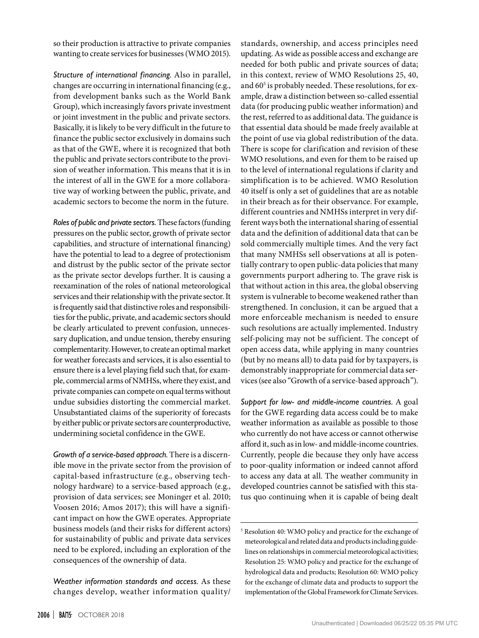so their production is attractive to private companies wanting to create services for businesses (WMO 2015).

*Structure of international financing.* Also in parallel, changes are occurring in international financing (e.g., from development banks such as the World Bank Group), which increasingly favors private investment or joint investment in the public and private sectors. Basically, it is likely to be very difficult in the future to finance the public sector exclusively in domains such as that of the GWE, where it is recognized that both the public and private sectors contribute to the provision of weather information. This means that it is in the interest of all in the GWE for a more collaborative way of working between the public, private, and academic sectors to become the norm in the future.

*Roles of public and private sectors.* These factors (funding pressures on the public sector, growth of private sector capabilities, and structure of international financing) have the potential to lead to a degree of protectionism and distrust by the public sector of the private sector as the private sector develops further. It is causing a reexamination of the roles of national meteorological services and their relationship with the private sector. It is frequently said that distinctive roles and responsibilities for the public, private, and academic sectors should be clearly articulated to prevent confusion, unnecessary duplication, and undue tension, thereby ensuring complementarity. However, to create an optimal market for weather forecasts and services, it is also essential to ensure there is a level playing field such that, for example, commercial arms of NMHSs, where they exist, and private companies can compete on equal terms without undue subsidies distorting the commercial market. Unsubstantiated claims of the superiority of forecasts by either public or private sectors are counterproductive, undermining societal confidence in the GWE.

*Growth of a service-based approach.* There is a discernible move in the private sector from the provision of capital-based infrastructure (e.g., observing technology hardware) to a service-based approach (e.g., provision of data services; see Moninger et al. 2010; Voosen 2016; Amos 2017); this will have a significant impact on how the GWE operates. Appropriate business models (and their risks for different actors) for sustainability of public and private data services need to be explored, including an exploration of the consequences of the ownership of data.

*Weather information standards and access.* As these changes develop, weather information quality/

standards, ownership, and access principles need updating. As wide as possible access and exchange are needed for both public and private sources of data; in this context, review of WMO Resolutions 25, 40, and 60<sup>5</sup> is probably needed. These resolutions, for example, draw a distinction between so-called essential data (for producing public weather information) and the rest, referred to as additional data. The guidance is that essential data should be made freely available at the point of use via global redistribution of the data. There is scope for clarification and revision of these WMO resolutions, and even for them to be raised up to the level of international regulations if clarity and simplification is to be achieved. WMO Resolution 40 itself is only a set of guidelines that are as notable in their breach as for their observance. For example, different countries and NMHSs interpret in very different ways both the international sharing of essential data and the definition of additional data that can be sold commercially multiple times. And the very fact that many NMHSs sell observations at all is potentially contrary to open public-data policies that many governments purport adhering to. The grave risk is that without action in this area, the global observing system is vulnerable to become weakened rather than strengthened. In conclusion, it can be argued that a more enforceable mechanism is needed to ensure such resolutions are actually implemented. Industry self-policing may not be sufficient. The concept of open access data, while applying in many countries (but by no means all) to data paid for by taxpayers, is demonstrably inappropriate for commercial data services (see also "Growth of a service-based approach").

*Support for low- and middle-income countries.* A goal for the GWE regarding data access could be to make weather information as available as possible to those who currently do not have access or cannot otherwise afford it, such as in low- and middle-income countries. Currently, people die because they only have access to poor-quality information or indeed cannot afford to access any data at all. The weather community in developed countries cannot be satisfied with this status quo continuing when it is capable of being dealt

<sup>5</sup> Resolution 40: WMO policy and practice for the exchange of meteorological and related data and products including guidelines on relationships in commercial meteorological activities; Resolution 25: WMO policy and practice for the exchange of hydrological data and products; Resolution 60: WMO policy for the exchange of climate data and products to support the implementation of the Global Framework for Climate Services.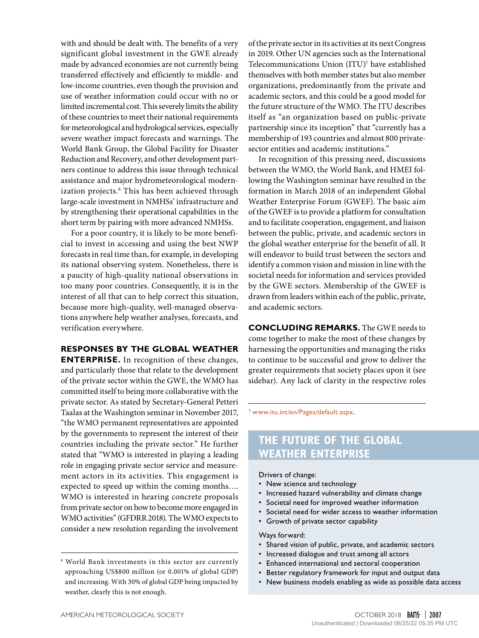with and should be dealt with. The benefits of a very significant global investment in the GWE already made by advanced economies are not currently being transferred effectively and efficiently to middle- and low-income countries, even though the provision and use of weather information could occur with no or limited incremental cost. This severely limits the ability of these countries to meet their national requirements for meteorological and hydrological services, especially severe weather impact forecasts and warnings. The World Bank Group, the Global Facility for Disaster Reduction and Recovery, and other development partners continue to address this issue through technical assistance and major hydrometeorological modernization projects.6 This has been achieved through large-scale investment in NMHSs' infrastructure and by strengthening their operational capabilities in the short term by pairing with more advanced NMHSs.

For a poor country, it is likely to be more beneficial to invest in accessing and using the best NWP forecasts in real time than, for example, in developing its national observing system. Nonetheless, there is a paucity of high-quality national observations in too many poor countries. Consequently, it is in the interest of all that can to help correct this situation, because more high-quality, well-managed observations anywhere help weather analyses, forecasts, and verification everywhere.

#### **RESPONSES BY THE GLOBAL WEATHER**

**ENTERPRISE.** In recognition of these changes, and particularly those that relate to the development of the private sector within the GWE, the WMO has committed itself to being more collaborative with the private sector. As stated by Secretary-General Petteri Taalas at the Washington seminar in November 2017, "the WMO permanent representatives are appointed by the governments to represent the interest of their countries including the private sector." He further stated that "WMO is interested in playing a leading role in engaging private sector service and measurement actors in its activities. This engagement is expected to speed up within the coming months…. WMO is interested in hearing concrete proposals from private sector on how to become more engaged in WMO activities" (GFDRR 2018). The WMO expects to consider a new resolution regarding the involvement

6 World Bank investments in this sector are currently approaching US\$800 million (or 0.001% of global GDP) and increasing. With 30% of global GDP being impacted by weather, clearly this is not enough.

of the private sector in its activities at its next Congress in 2019. Other UN agencies such as the International Telecommunications Union (ITU)<sup>7</sup> have established themselves with both member states but also member organizations, predominantly from the private and academic sectors, and this could be a good model for the future structure of the WMO. The ITU describes itself as "an organization based on public-private partnership since its inception" that "currently has a membership of 193 countries and almost 800 privatesector entities and academic institutions."

In recognition of this pressing need, discussions between the WMO, the World Bank, and HMEI following the Washington seminar have resulted in the formation in March 2018 of an independent Global Weather Enterprise Forum (GWEF). The basic aim of the GWEF is to provide a platform for consultation and to facilitate cooperation, engagement, and liaison between the public, private, and academic sectors in the global weather enterprise for the benefit of all. It will endeavor to build trust between the sectors and identify a common vision and mission in line with the societal needs for information and services provided by the GWE sectors. Membership of the GWEF is drawn from leaders within each of the public, private, and academic sectors.

**CONCLUDING REMARKS.** The GWE needs to come together to make the most of these changes by harnessing the opportunities and managing the risks to continue to be successful and grow to deliver the greater requirements that society places upon it (see sidebar). Any lack of clarity in the respective roles

<sup>7</sup> [www.itu.int/en/Pages/default.aspx](https://www.itu.int/en/Pages/default.aspx).

## **THE FUTURE OF THE GLOBAL WEATHER ENTERPRISE**

Drivers of change:

- New science and technology
- Increased hazard vulnerability and climate change
- Societal need for improved weather information
- Societal need for wider access to weather information
- Growth of private sector capability

Ways forward:

- Shared vision of public, private, and academic sectors
- Increased dialogue and trust among all actors
- Enhanced international and sectoral cooperation
- Better regulatory framework for input and output data
- New business models enabling as wide as possible data access